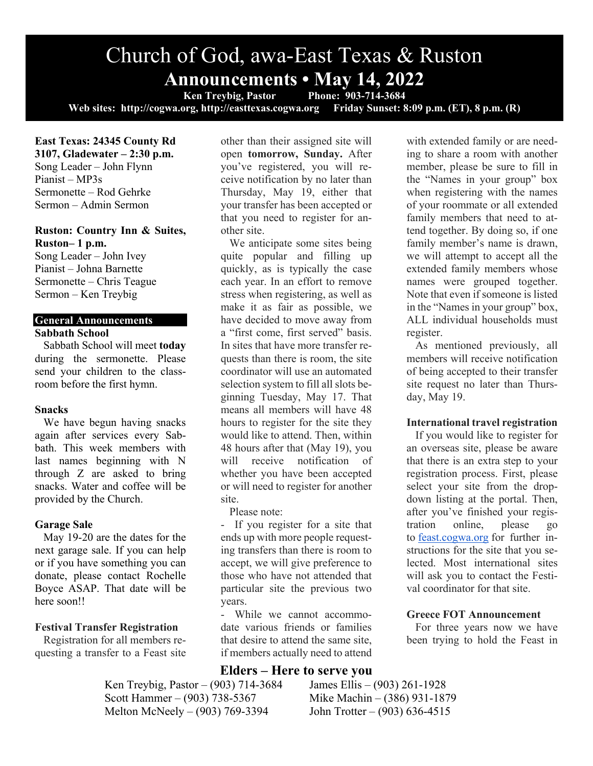# Church of God, awa-East Texas & Ruston **Announcements • May 14, 2022**

**Ken Treybig, Pastor Phone: 903-714-3684 Web sites: http://cogwa.org, http://easttexas.cogwa.org Friday Sunset: 8:09 p.m. (ET), 8 p.m. (R)**

### **East Texas: 24345 County Rd 3107, Gladewater – 2:30 p.m.**  Song Leader – John Flynn Pianist – MP3s Sermonette – Rod Gehrke Sermon – Admin Sermon

## **Ruston: Country Inn & Suites, Ruston– 1 p.m.**

Song Leader – John Ivey Pianist – Johna Barnette Sermonette – Chris Teague Sermon – Ken Treybig

## **General Announcements**

## **Sabbath School**

Sabbath School will meet **today** during the sermonette. Please send your children to the classroom before the first hymn.

## **Snacks**

We have begun having snacks again after services every Sabbath. This week members with last names beginning with N through Z are asked to bring snacks. Water and coffee will be provided by the Church.

## **Garage Sale**

May 19-20 are the dates for the next garage sale. If you can help or if you have something you can donate, please contact Rochelle Boyce ASAP. That date will be here soon!!

## **Festival Transfer Registration**

Registration for all members requesting a transfer to a Feast site other than their assigned site will open **tomorrow, Sunday.** After you've registered, you will receive notification by no later than Thursday, May 19, either that your transfer has been accepted or that you need to register for another site.

We anticipate some sites being quite popular and filling up quickly, as is typically the case each year. In an effort to remove stress when registering, as well as make it as fair as possible, we have decided to move away from a "first come, first served" basis. In sites that have more transfer requests than there is room, the site coordinator will use an automated selection system to fill all slots beginning Tuesday, May 17. That means all members will have 48 hours to register for the site they would like to attend. Then, within 48 hours after that (May 19), you will receive notification of whether you have been accepted or will need to register for another site.

Please note:

- If you register for a site that ends up with more people requesting transfers than there is room to accept, we will give preference to those who have not attended that particular site the previous two years.

- While we cannot accommodate various friends or families that desire to attend the same site, if members actually need to attend

## **Elders – Here to serve you**

Ken Treybig, Pastor – (903) 714-3684 James Ellis – (903) 261-1928 Scott Hammer – (903) 738-5367 Mike Machin – (386) 931-1879 Melton McNeely – (903) 769-3394 John Trotter – (903) 636-4515

with extended family or are needing to share a room with another member, please be sure to fill in the "Names in your group" box when registering with the names of your roommate or all extended family members that need to attend together. By doing so, if one family member's name is drawn, we will attempt to accept all the extended family members whose names were grouped together. Note that even if someone is listed in the "Names in your group" box, ALL individual households must register.

As mentioned previously, all members will receive notification of being accepted to their transfer site request no later than Thursday, May 19.

## **International travel registration**

If you would like to register for an overseas site, please be aware that there is an extra step to your registration process. First, please select your site from the dropdown listing at the portal. Then, after you've finished your registration online, please go to feast.cogwa.org for further instructions for the site that you selected. Most international sites will ask you to contact the Festival coordinator for that site.

## **Greece FOT Announcement**

For three years now we have been trying to hold the Feast in